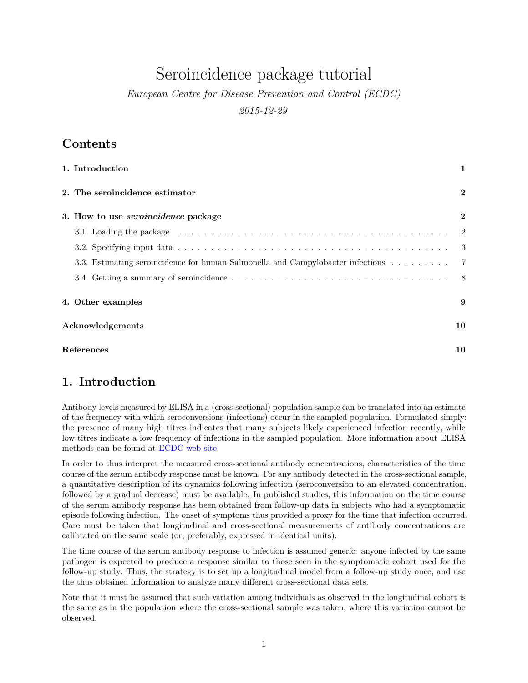# Seroincidence package tutorial

*European Centre for Disease Prevention and Control (ECDC)*

*2015-12-29*

## **Contents**

| 1. Introduction                                                                 |                |  |  |  |  |
|---------------------------------------------------------------------------------|----------------|--|--|--|--|
| 2. The seroincidence estimator                                                  | $\bf{2}$       |  |  |  |  |
| 3. How to use <i>seroincidence</i> package                                      | $\bf{2}$       |  |  |  |  |
|                                                                                 | -2             |  |  |  |  |
|                                                                                 | -3             |  |  |  |  |
| 3.3. Estimating seroincidence for human Salmonella and Campylobacter infections | $\overline{7}$ |  |  |  |  |
|                                                                                 | -8             |  |  |  |  |
| 4. Other examples                                                               | 9              |  |  |  |  |
| Acknowledgements                                                                | 10             |  |  |  |  |
| <b>References</b><br>10                                                         |                |  |  |  |  |

# <span id="page-0-0"></span>**1. Introduction**

Antibody levels measured by ELISA in a (cross-sectional) population sample can be translated into an estimate of the frequency with which seroconversions (infections) occur in the sampled population. Formulated simply: the presence of many high titres indicates that many subjects likely experienced infection recently, while low titres indicate a low frequency of infections in the sampled population. More information about ELISA methods can be found at [ECDC web site.](http://ecdc.europa.eu/en/data-tools/seroincidence-calculator-tool/Pages/default.aspx)

In order to thus interpret the measured cross-sectional antibody concentrations, characteristics of the time course of the serum antibody response must be known. For any antibody detected in the cross-sectional sample, a quantitative description of its dynamics following infection (seroconversion to an elevated concentration, followed by a gradual decrease) must be available. In published studies, this information on the time course of the serum antibody response has been obtained from follow-up data in subjects who had a symptomatic episode following infection. The onset of symptoms thus provided a proxy for the time that infection occurred. Care must be taken that longitudinal and cross-sectional measurements of antibody concentrations are calibrated on the same scale (or, preferably, expressed in identical units).

The time course of the serum antibody response to infection is assumed generic: anyone infected by the same pathogen is expected to produce a response similar to those seen in the symptomatic cohort used for the follow-up study. Thus, the strategy is to set up a longitudinal model from a follow-up study once, and use the thus obtained information to analyze many different cross-sectional data sets.

Note that it must be assumed that such variation among individuals as observed in the longitudinal cohort is the same as in the population where the cross-sectional sample was taken, where this variation cannot be observed.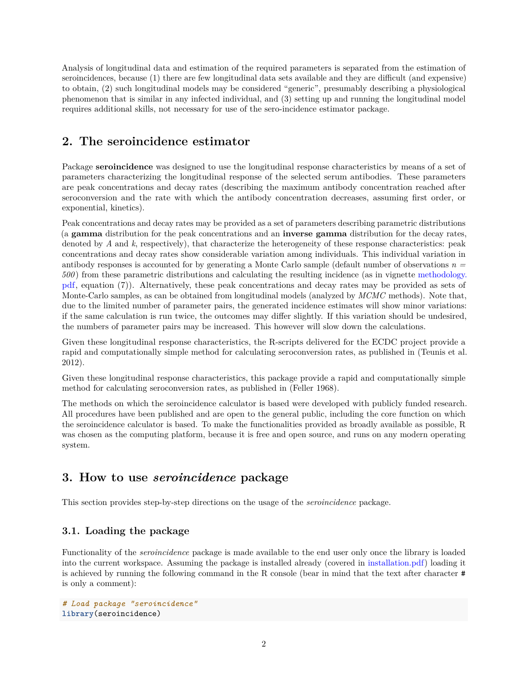Analysis of longitudinal data and estimation of the required parameters is separated from the estimation of seroincidences, because (1) there are few longitudinal data sets available and they are difficult (and expensive) to obtain, (2) such longitudinal models may be considered "generic", presumably describing a physiological phenomenon that is similar in any infected individual, and (3) setting up and running the longitudinal model requires additional skills, not necessary for use of the sero-incidence estimator package.

# <span id="page-1-0"></span>**2. The seroincidence estimator**

Package **seroincidence** was designed to use the longitudinal response characteristics by means of a set of parameters characterizing the longitudinal response of the selected serum antibodies. These parameters are peak concentrations and decay rates (describing the maximum antibody concentration reached after seroconversion and the rate with which the antibody concentration decreases, assuming first order, or exponential, kinetics).

Peak concentrations and decay rates may be provided as a set of parameters describing parametric distributions (a **gamma** distribution for the peak concentrations and an **inverse gamma** distribution for the decay rates, denoted by *A* and *k*, respectively), that characterize the heterogeneity of these response characteristics: peak concentrations and decay rates show considerable variation among individuals. This individual variation in antibody responses is accounted for by generating a Monte Carlo sample (default number of observations *n = 500* ) from these parametric distributions and calculating the resulting incidence (as in vignette [methodology.](methodology.pdf) [pdf,](methodology.pdf) equation (7)). Alternatively, these peak concentrations and decay rates may be provided as sets of Monte-Carlo samples, as can be obtained from longitudinal models (analyzed by *MCMC* methods). Note that, due to the limited number of parameter pairs, the generated incidence estimates will show minor variations: if the same calculation is run twice, the outcomes may differ slightly. If this variation should be undesired, the numbers of parameter pairs may be increased. This however will slow down the calculations.

Given these longitudinal response characteristics, the R-scripts delivered for the ECDC project provide a rapid and computationally simple method for calculating seroconversion rates, as published in (Teunis et al. 2012).

Given these longitudinal response characteristics, this package provide a rapid and computationally simple method for calculating seroconversion rates, as published in (Feller 1968).

The methods on which the seroincidence calculator is based were developed with publicly funded research. All procedures have been published and are open to the general public, including the core function on which the seroincidence calculator is based. To make the functionalities provided as broadly available as possible, R was chosen as the computing platform, because it is free and open source, and runs on any modern operating system.

# <span id="page-1-1"></span>**3. How to use** *seroincidence* **package**

This section provides step-by-step directions on the usage of the *seroincidence* package.

### <span id="page-1-2"></span>**3.1. Loading the package**

Functionality of the *seroincidence* package is made available to the end user only once the library is loaded into the current workspace. Assuming the package is installed already (covered in [installation.pdf\)](installation.pdf) loading it is achieved by running the following command in the R console (bear in mind that the text after character # is only a comment):

```
# Load package "seroincidence"
library(seroincidence)
```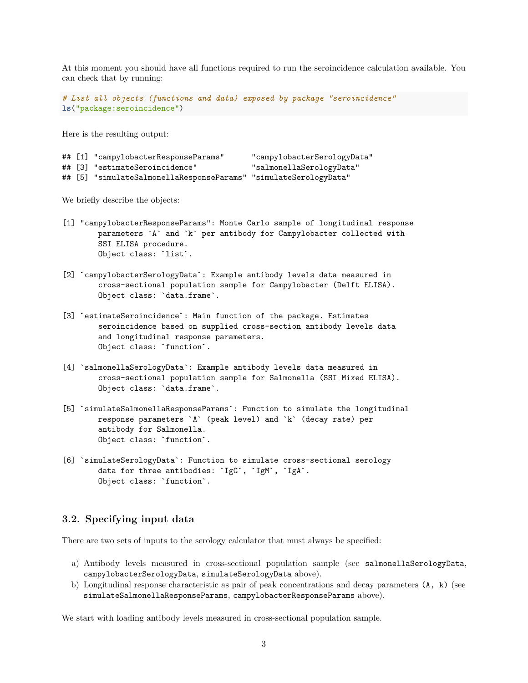At this moment you should have all functions required to run the seroincidence calculation available. You can check that by running:

```
# List all objects (functions and data) exposed by package "seroincidence"
ls("package:seroincidence")
```
Here is the resulting output:

```
## [1] "campylobacterResponseParams" "campylobacterSerologyData"
## [3] "estimateSeroincidence" "salmonellaSerologyData"
```
## [5] "simulateSalmonellaResponseParams" "simulateSerologyData"

We briefly describe the objects:

- [1] "campylobacterResponseParams": Monte Carlo sample of longitudinal response parameters `A` and `k` per antibody for Campylobacter collected with SSI ELISA procedure. Object class: `list`.
- [2] `campylobacterSerologyData`: Example antibody levels data measured in cross-sectional population sample for Campylobacter (Delft ELISA). Object class: `data.frame`.
- [3] `estimateSeroincidence`: Main function of the package. Estimates seroincidence based on supplied cross-section antibody levels data and longitudinal response parameters. Object class: `function`.
- [4] `salmonellaSerologyData`: Example antibody levels data measured in cross-sectional population sample for Salmonella (SSI Mixed ELISA). Object class: `data.frame`.
- [5] `simulateSalmonellaResponseParams`: Function to simulate the longitudinal response parameters `A` (peak level) and `k` (decay rate) per antibody for Salmonella. Object class: `function`.
- [6] `simulateSerologyData`: Function to simulate cross-sectional serology data for three antibodies: `IgG`, `IgM`, `IgA`. Object class: `function`.

### <span id="page-2-0"></span>**3.2. Specifying input data**

There are two sets of inputs to the serology calculator that must always be specified:

- a) Antibody levels measured in cross-sectional population sample (see salmonellaSerologyData, campylobacterSerologyData, simulateSerologyData above).
- b) Longitudinal response characteristic as pair of peak concentrations and decay parameters (A, k) (see simulateSalmonellaResponseParams, campylobacterResponseParams above).

We start with loading antibody levels measured in cross-sectional population sample.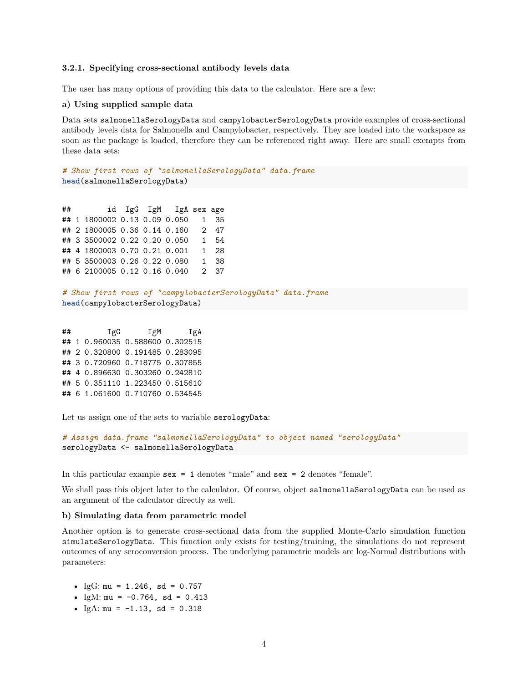#### **3.2.1. Specifying cross-sectional antibody levels data**

The user has many options of providing this data to the calculator. Here are a few:

#### **a) Using supplied sample data**

Data sets salmonellaSerologyData and campylobacterSerologyData provide examples of cross-sectional antibody levels data for Salmonella and Campylobacter, respectively. They are loaded into the workspace as soon as the package is loaded, therefore they can be referenced right away. Here are small exempts from these data sets:

*# Show first rows of "salmonellaSerologyData" data.frame* **head**(salmonellaSerologyData)

## id IgG IgM IgA sex age ## 1 1800002 0.13 0.09 0.050 1 35 ## 2 1800005 0.36 0.14 0.160 2 47 ## 3 3500002 0.22 0.20 0.050 1 54 ## 4 1800003 0.70 0.21 0.001 1 28 ## 5 3500003 0.26 0.22 0.080 1 38 ## 6 2100005 0.12 0.16 0.040 2 37

```
# Show first rows of "campylobacterSerologyData" data.frame
head(campylobacterSerologyData)
```
## IgG IgM IgA ## 1 0.960035 0.588600 0.302515 ## 2 0.320800 0.191485 0.283095 ## 3 0.720960 0.718775 0.307855 ## 4 0.896630 0.303260 0.242810 ## 5 0.351110 1.223450 0.515610 ## 6 1.061600 0.710760 0.534545

Let us assign one of the sets to variable serologyData:

```
# Assign data.frame "salmonellaSerologyData" to object named "serologyData"
serologyData <- salmonellaSerologyData
```
In this particular example sex = 1 denotes "male" and sex = 2 denotes "female".

We shall pass this object later to the calculator. Of course, object salmonellaSerologyData can be used as an argument of the calculator directly as well.

#### **b) Simulating data from parametric model**

Another option is to generate cross-sectional data from the supplied Monte-Carlo simulation function simulateSerologyData. This function only exists for testing/training, the simulations do not represent outcomes of any seroconversion process. The underlying parametric models are log-Normal distributions with parameters:

- $IgG: mu = 1.246$ , sd = 0.757
- IgM:  $mu = -0.764$ , sd = 0.413
- $IgA: mu = -1.13$ , sd = 0.318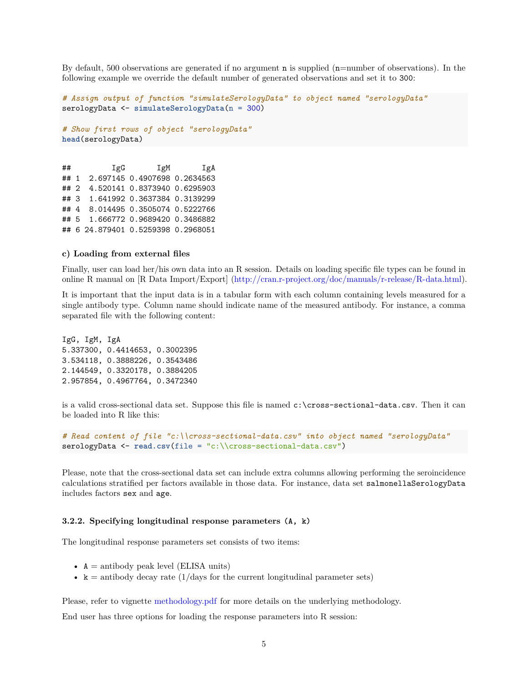By default, 500 observations are generated if no argument **n** is supplied  $(n=$ number of observations). In the following example we override the default number of generated observations and set it to 300:

```
# Assign output of function "simulateSerologyData" to object named "serologyData"
serologyData <- simulateSerologyData(n = 300)
# Show first rows of object "serologyData"
head(serologyData)
```
## IgG IgM IgA ## 1 2.697145 0.4907698 0.2634563 ## 2 4.520141 0.8373940 0.6295903 ## 3 1.641992 0.3637384 0.3139299 ## 4 8.014495 0.3505074 0.5222766 ## 5 1.666772 0.9689420 0.3486882 ## 6 24.879401 0.5259398 0.2968051

#### **c) Loading from external files**

Finally, user can load her/his own data into an R session. Details on loading specific file types can be found in online R manual on [R Data Import/Export] [\(http://cran.r-project.org/doc/manuals/r-release/R-data.html\)](http://cran.r-project.org/doc/manuals/r-release/R-data.html).

It is important that the input data is in a tabular form with each column containing levels measured for a single antibody type. Column name should indicate name of the measured antibody. For instance, a comma separated file with the following content:

IgG, IgM, IgA 5.337300, 0.4414653, 0.3002395 3.534118, 0.3888226, 0.3543486 2.144549, 0.3320178, 0.3884205 2.957854, 0.4967764, 0.3472340

is a valid cross-sectional data set. Suppose this file is named c:\cross-sectional-data.csv. Then it can be loaded into R like this:

```
# Read content of file "c:\\cross-sectional-data.csv" into object named "serologyData"
serologyData <- read.csv(file = "c:\\cross-sectional-data.csv")
```
Please, note that the cross-sectional data set can include extra columns allowing performing the seroincidence calculations stratified per factors available in those data. For instance, data set salmonellaSerologyData includes factors sex and age.

#### **3.2.2. Specifying longitudinal response parameters (A, k)**

The longitudinal response parameters set consists of two items:

- $A =$  antibody peak level (ELISA units)
- $k =$  antibody decay rate (1/days for the current longitudinal parameter sets)

Please, refer to vignette <methodology.pdf> for more details on the underlying methodology.

End user has three options for loading the response parameters into R session: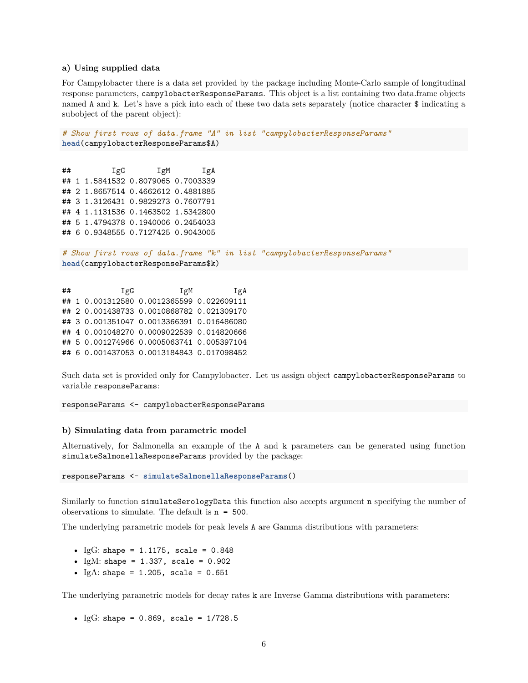#### **a) Using supplied data**

For Campylobacter there is a data set provided by the package including Monte-Carlo sample of longitudinal response parameters, campylobacterResponseParams. This object is a list containing two data.frame objects named A and k. Let's have a pick into each of these two data sets separately (notice character \$ indicating a subobject of the parent object):

```
# Show first rows of data.frame "A" in list "campylobacterResponseParams"
head(campylobacterResponseParams$A)
```
## IgG IgM IgA ## 1 1.5841532 0.8079065 0.7003339 ## 2 1.8657514 0.4662612 0.4881885 ## 3 1.3126431 0.9829273 0.7607791 ## 4 1.1131536 0.1463502 1.5342800 ## 5 1.4794378 0.1940006 0.2454033 ## 6 0.9348555 0.7127425 0.9043005

```
# Show first rows of data.frame "k" in list "campylobacterResponseParams"
head(campylobacterResponseParams$k)
```
## IgG IgM IgA ## 1 0.001312580 0.0012365599 0.022609111 ## 2 0.001438733 0.0010868782 0.021309170 ## 3 0.001351047 0.0013366391 0.016486080 ## 4 0.001048270 0.0009022539 0.014820666 ## 5 0.001274966 0.0005063741 0.005397104 ## 6 0.001437053 0.0013184843 0.017098452

Such data set is provided only for Campylobacter. Let us assign object campylobacterResponseParams to variable responseParams:

responseParams <- campylobacterResponseParams

#### **b) Simulating data from parametric model**

Alternatively, for Salmonella an example of the A and k parameters can be generated using function simulateSalmonellaResponseParams provided by the package:

responseParams <- **simulateSalmonellaResponseParams**()

Similarly to function simulateSerologyData this function also accepts argument n specifying the number of observations to simulate. The default is n = 500.

The underlying parametric models for peak levels A are Gamma distributions with parameters:

- IgG: shape =  $1.1175$ , scale =  $0.848$
- IgM: shape =  $1.337$ , scale =  $0.902$
- IgA: shape =  $1.205$ , scale =  $0.651$

The underlying parametric models for decay rates k are Inverse Gamma distributions with parameters:

• IgG: shape =  $0.869$ , scale =  $1/728.5$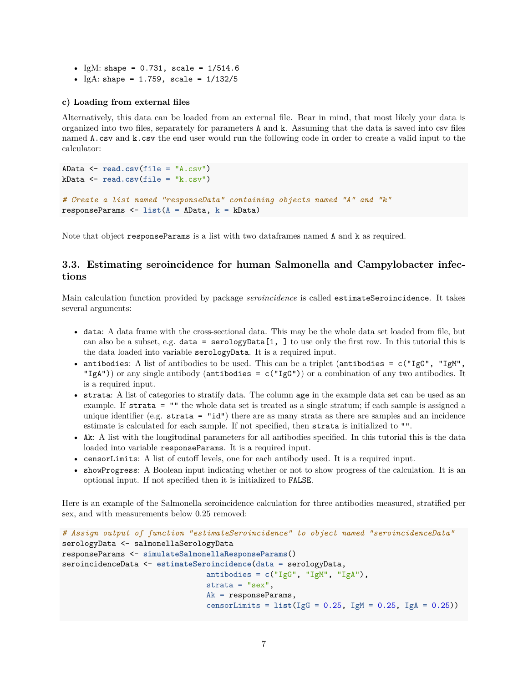- IgM: shape =  $0.731$ , scale =  $1/514.6$
- IgA: shape =  $1.759$ , scale =  $1/132/5$

#### **c) Loading from external files**

Alternatively, this data can be loaded from an external file. Bear in mind, that most likely your data is organized into two files, separately for parameters A and k. Assuming that the data is saved into csv files named A.csv and k.csv the end user would run the following code in order to create a valid input to the calculator:

```
AData <- read.csv(file = "A.csv")
kData <- read.csv(file = "k.csv")
# Create a list named "responseData" containing objects named "A" and "k"
responseParams <- list(A = AData, k = kData)
```
Note that object responseParams is a list with two dataframes named A and k as required.

### <span id="page-6-0"></span>**3.3. Estimating seroincidence for human Salmonella and Campylobacter infections**

Main calculation function provided by package *seroincidence* is called estimateSeroincidence. It takes several arguments:

- data: A data frame with the cross-sectional data. This may be the whole data set loaded from file, but can also be a subset, e.g.  $data = serologyData[1, 1]$  to use only the first row. In this tutorial this is the data loaded into variable serologyData. It is a required input.
- antibodies: A list of antibodies to be used. This can be a triplet (antibodies =  $c("IgG", "IgM",$ "IgA")) or any single antibody (antibodies =  $c("IgG")$ ) or a combination of any two antibodies. It is a required input.
- strata: A list of categories to stratify data. The column age in the example data set can be used as an example. If strata = "" the whole data set is treated as a single stratum; if each sample is assigned a unique identifier (e.g. strata = "id") there are as many strata as there are samples and an incidence estimate is calculated for each sample. If not specified, then strata is initialized to "".
- Ak: A list with the longitudinal parameters for all antibodies specified. In this tutorial this is the data loaded into variable responseParams. It is a required input.
- censorLimits: A list of cutoff levels, one for each antibody used. It is a required input.
- showProgress: A Boolean input indicating whether or not to show progress of the calculation. It is an optional input. If not specified then it is initialized to FALSE.

Here is an example of the Salmonella seroincidence calculation for three antibodies measured, stratified per sex, and with measurements below 0.25 removed:

```
# Assign output of function "estimateSeroincidence" to object named "seroincidenceData"
serologyData <- salmonellaSerologyData
responseParams <- simulateSalmonellaResponseParams()
seroincidenceData <- estimateSeroincidence(data = serologyData,
                                antibodies = c("IgG", "IgM", "IgA"),
                                strata = "sex",Ak = responseParams,
                                censorLimits = list(IgG = 0.25, IgM = 0.25, IgA = 0.25))
```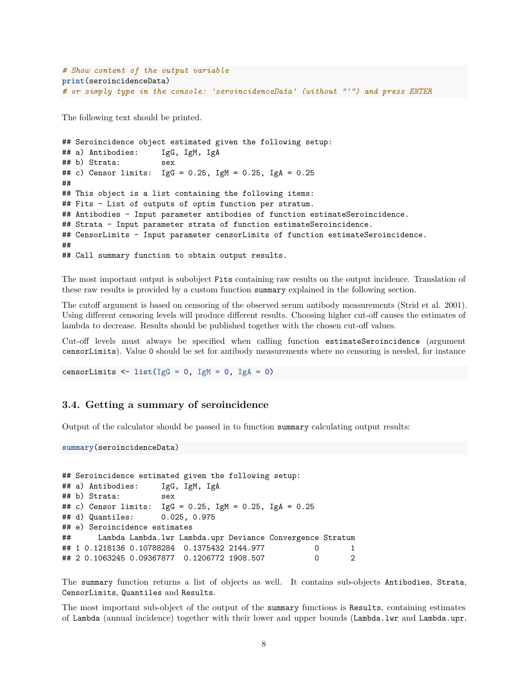```
# Show content of the output variable
print(seroincidenceData)
# or simply type in the console: 'seroincidenceData' (without "'") and press ENTER
```
The following text should be printed.

```
## Seroincidence object estimated given the following setup:
## a) Antibodies: IgG, IgM, IgA
## b) Strata: sex
## c) Censor limits: IgG = 0.25, IgM = 0.25, IgA = 0.25
##
## This object is a list containing the following items:
## Fits - List of outputs of optim function per stratum.
## Antibodies - Input parameter antibodies of function estimateSeroincidence.
## Strata - Input parameter strata of function estimateSeroincidence.
## CensorLimits - Input parameter censorLimits of function estimateSeroincidence.
##
## Call summary function to obtain output results.
```
The most important output is subobject Fits containing raw results on the output incidence. Translation of these raw results is provided by a custom function summary explained in the following section.

The cutoff argument is based on censoring of the observed serum antibody measurements (Strid et al. 2001). Using different censoring levels will produce different results. Choosing higher cut-off causes the estimates of lambda to decrease. Results should be published together with the chosen cut-off values.

Cut-off levels must always be specified when calling function estimateSeroincidence (argument censorLimits). Value 0 should be set for antibody measurements where no censoring is needed, for instance

censorLimits <- **list**(IgG = 0, IgM = 0, IgA = 0)

#### <span id="page-7-0"></span>**3.4. Getting a summary of seroincidence**

Output of the calculator should be passed in to function summary calculating output results:

```
summary(seroincidenceData)
```

```
## Seroincidence estimated given the following setup:
## a) Antibodies: IgG, IgM, IgA
## b) Strata: sex
## c) Censor limits: IgG = 0.25, IgM = 0.25, IgA = 0.25
## d) Quantiles: 0.025, 0.975
## e) Seroincidence estimates
## Lambda Lambda.lwr Lambda.upr Deviance Convergence Stratum
## 1 0.1218136 0.10788284 0.1375432 2144.977 0 1
## 2 0.1063245 0.09367877 0.1206772 1908.507 0 2
```
The summary function returns a list of objects as well. It contains sub-objects Antibodies, Strata, CensorLimits, Quantiles and Results.

The most important sub-object of the output of the summary functions is Results, containing estimates of Lambda (annual incidence) together with their lower and upper bounds (Lambda.lwr and Lambda.upr,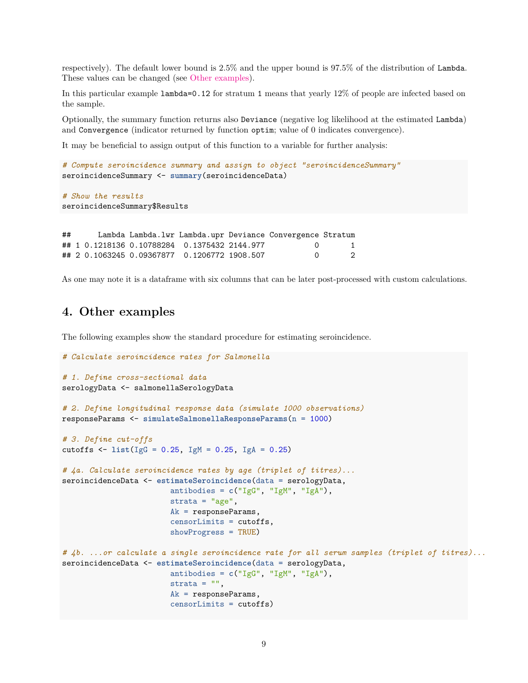respectively). The default lower bound is 2.5% and the upper bound is 97.5% of the distribution of Lambda. These values can be changed (see [Other examples\)](#page-8-0).

In this particular example lambda=0.12 for stratum 1 means that yearly 12% of people are infected based on the sample.

Optionally, the summary function returns also Deviance (negative log likelihood at the estimated Lambda) and Convergence (indicator returned by function optim; value of 0 indicates convergence).

It may be beneficial to assign output of this function to a variable for further analysis:

```
# Compute seroincidence summary and assign to object "seroincidenceSummary"
seroincidenceSummary <- summary(seroincidenceData)
```

```
# Show the results
seroincidenceSummary$Results
```

| ## |  |                                                  | Lambda Lambda.lwr Lambda.upr Deviance Convergence Stratum |    |
|----|--|--------------------------------------------------|-----------------------------------------------------------|----|
|    |  | ## 1 0.1218136 0.10788284     0.1375432 2144.977 |                                                           |    |
|    |  |                                                  |                                                           | -2 |

As one may note it is a dataframe with six columns that can be later post-processed with custom calculations.

### <span id="page-8-0"></span>**4. Other examples**

The following examples show the standard procedure for estimating seroincidence.

*# Calculate seroincidence rates for Salmonella*

```
# 1. Define cross-sectional data
serologyData <- salmonellaSerologyData
# 2. Define longitudinal response data (simulate 1000 observations)
responseParams <- simulateSalmonellaResponseParams(n = 1000)
# 3. Define cut-offs
cutoffs <- list(IgG = 0.25, IgM = 0.25, IgA = 0.25)
# 4a. Calculate seroincidence rates by age (triplet of titres)...
seroincidenceData <- estimateSeroincidence(data = serologyData,
                        antibodies = c("IgG", "IgM", "IgA"),
                        strata = "age",Ak = responseParams,
                        censorLimits = cutoffs,
                        showProgress = TRUE)
# 4b. ...or calculate a single seroincidence rate for all serum samples (triplet of titres)...
seroincidenceData <- estimateSeroincidence(data = serologyData,
                        antibodies = c("IgG", "IgM", "IgA"),
                        strata = ",
                        Ak = responseParams,
                        censorLimits = cutoffs)
```